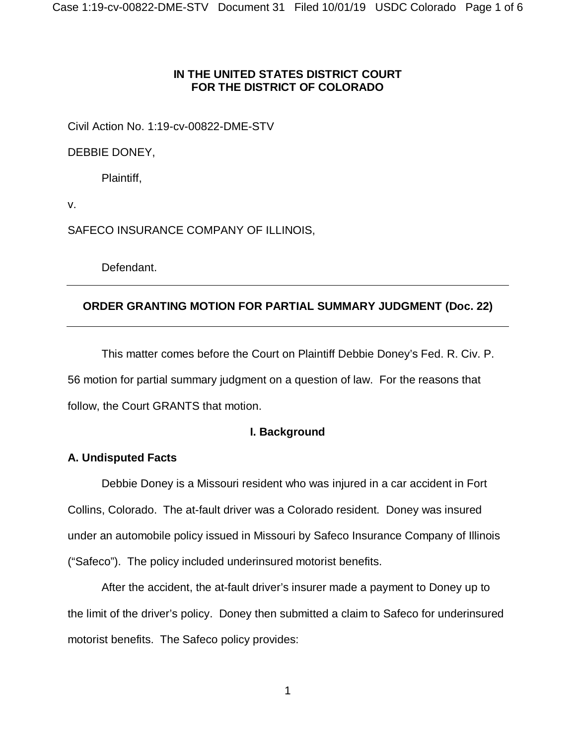## **IN THE UNITED STATES DISTRICT COURT FOR THE DISTRICT OF COLORADO**

Civil Action No. 1:19-cv-00822-DME-STV

DEBBIE DONEY,

Plaintiff,

v.

SAFECO INSURANCE COMPANY OF ILLINOIS,

Defendant.

# **ORDER GRANTING MOTION FOR PARTIAL SUMMARY JUDGMENT (Doc. 22)**

This matter comes before the Court on Plaintiff Debbie Doney's Fed. R. Civ. P. 56 motion for partial summary judgment on a question of law. For the reasons that follow, the Court GRANTS that motion.

## **I. Background**

## **A. Undisputed Facts**

Debbie Doney is a Missouri resident who was injured in a car accident in Fort Collins, Colorado. The at-fault driver was a Colorado resident. Doney was insured under an automobile policy issued in Missouri by Safeco Insurance Company of Illinois ("Safeco"). The policy included underinsured motorist benefits.

After the accident, the at-fault driver's insurer made a payment to Doney up to the limit of the driver's policy. Doney then submitted a claim to Safeco for underinsured motorist benefits. The Safeco policy provides: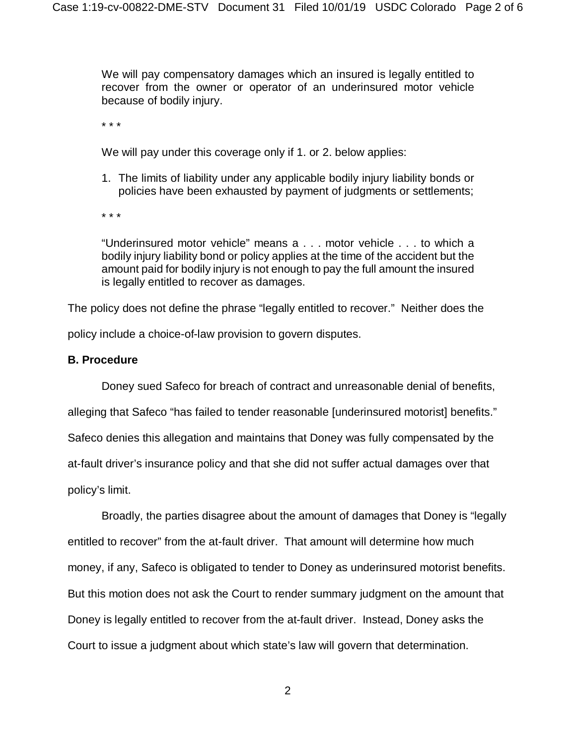We will pay compensatory damages which an insured is legally entitled to recover from the owner or operator of an underinsured motor vehicle because of bodily injury.

\* \* \*

We will pay under this coverage only if 1. or 2. below applies:

1. The limits of liability under any applicable bodily injury liability bonds or policies have been exhausted by payment of judgments or settlements;

\* \* \*

"Underinsured motor vehicle" means a . . . motor vehicle . . . to which a bodily injury liability bond or policy applies at the time of the accident but the amount paid for bodily injury is not enough to pay the full amount the insured is legally entitled to recover as damages.

The policy does not define the phrase "legally entitled to recover." Neither does the policy include a choice-of-law provision to govern disputes.

#### **B. Procedure**

Doney sued Safeco for breach of contract and unreasonable denial of benefits,

alleging that Safeco "has failed to tender reasonable [underinsured motorist] benefits." Safeco denies this allegation and maintains that Doney was fully compensated by the at-fault driver's insurance policy and that she did not suffer actual damages over that policy's limit.

Broadly, the parties disagree about the amount of damages that Doney is "legally entitled to recover" from the at-fault driver. That amount will determine how much money, if any, Safeco is obligated to tender to Doney as underinsured motorist benefits. But this motion does not ask the Court to render summary judgment on the amount that Doney is legally entitled to recover from the at-fault driver. Instead, Doney asks the Court to issue a judgment about which state's law will govern that determination.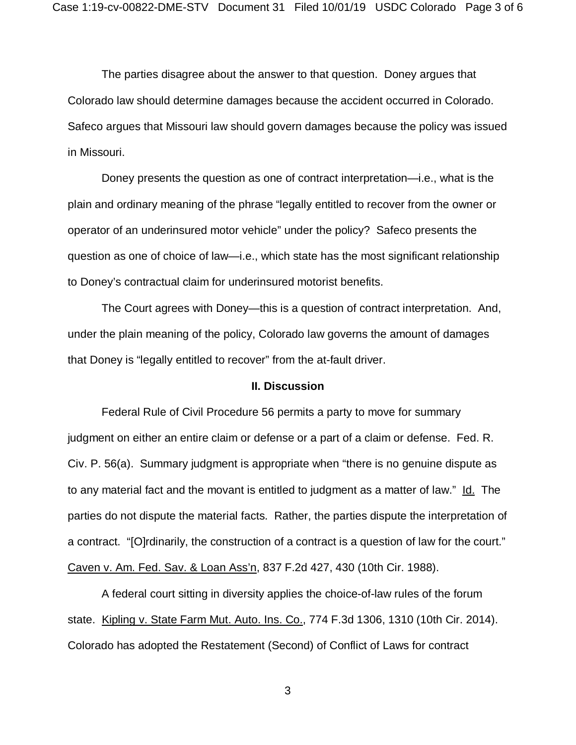The parties disagree about the answer to that question. Doney argues that Colorado law should determine damages because the accident occurred in Colorado. Safeco argues that Missouri law should govern damages because the policy was issued in Missouri.

Doney presents the question as one of contract interpretation—i.e., what is the plain and ordinary meaning of the phrase "legally entitled to recover from the owner or operator of an underinsured motor vehicle" under the policy? Safeco presents the question as one of choice of law—i.e., which state has the most significant relationship to Doney's contractual claim for underinsured motorist benefits.

The Court agrees with Doney—this is a question of contract interpretation. And, under the plain meaning of the policy, Colorado law governs the amount of damages that Doney is "legally entitled to recover" from the at-fault driver.

#### **II. Discussion**

Federal Rule of Civil Procedure 56 permits a party to move for summary judgment on either an entire claim or defense or a part of a claim or defense. Fed. R. Civ. P. 56(a). Summary judgment is appropriate when "there is no genuine dispute as to any material fact and the movant is entitled to judgment as a matter of law." Id. The parties do not dispute the material facts. Rather, the parties dispute the interpretation of a contract. "[O]rdinarily, the construction of a contract is a question of law for the court." Caven v. Am. Fed. Sav. & Loan Ass'n, 837 F.2d 427, 430 (10th Cir. 1988).

A federal court sitting in diversity applies the choice-of-law rules of the forum state. Kipling v. State Farm Mut. Auto. Ins. Co., 774 F.3d 1306, 1310 (10th Cir. 2014). Colorado has adopted the Restatement (Second) of Conflict of Laws for contract

3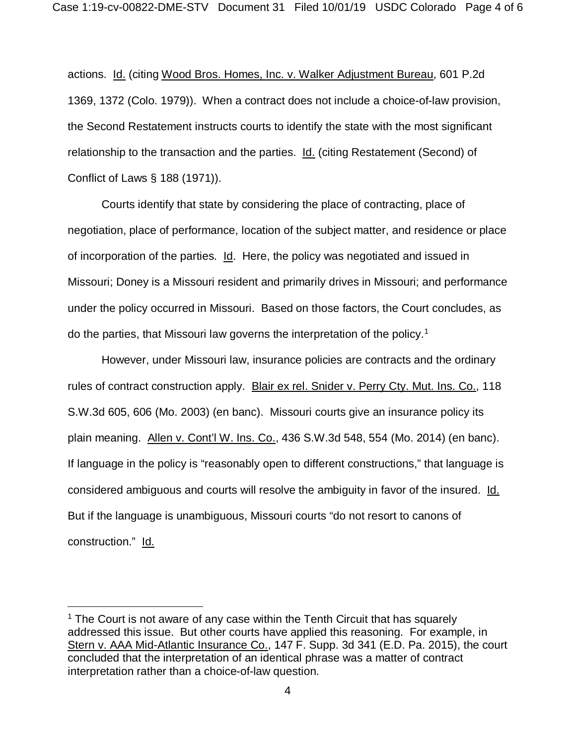actions. Id. (citing Wood Bros. Homes, Inc. v. Walker Adjustment Bureau, 601 P.2d 1369, 1372 (Colo. 1979)). When a contract does not include a choice-of-law provision, the Second Restatement instructs courts to identify the state with the most significant relationship to the transaction and the parties. Id. (citing Restatement (Second) of Conflict of Laws § 188 (1971)).

Courts identify that state by considering the place of contracting, place of negotiation, place of performance, location of the subject matter, and residence or place of incorporation of the parties. Id. Here, the policy was negotiated and issued in Missouri; Doney is a Missouri resident and primarily drives in Missouri; and performance under the policy occurred in Missouri. Based on those factors, the Court concludes, as do the parties, that Missouri law governs the interpretation of the policy.[1](#page-3-0)

However, under Missouri law, insurance policies are contracts and the ordinary rules of contract construction apply. Blair ex rel. Snider v. Perry Cty. Mut. Ins. Co., 118 S.W.3d 605, 606 (Mo. 2003) (en banc). Missouri courts give an insurance policy its plain meaning. Allen v. Cont'l W. Ins. Co., 436 S.W.3d 548, 554 (Mo. 2014) (en banc). If language in the policy is "reasonably open to different constructions," that language is considered ambiguous and courts will resolve the ambiguity in favor of the insured. Id. But if the language is unambiguous, Missouri courts "do not resort to canons of construction." Id.

 $\overline{a}$ 

<span id="page-3-0"></span><sup>1</sup> The Court is not aware of any case within the Tenth Circuit that has squarely addressed this issue. But other courts have applied this reasoning. For example, in Stern v. AAA Mid-Atlantic Insurance Co., 147 F. Supp. 3d 341 (E.D. Pa. 2015), the court concluded that the interpretation of an identical phrase was a matter of contract interpretation rather than a choice-of-law question.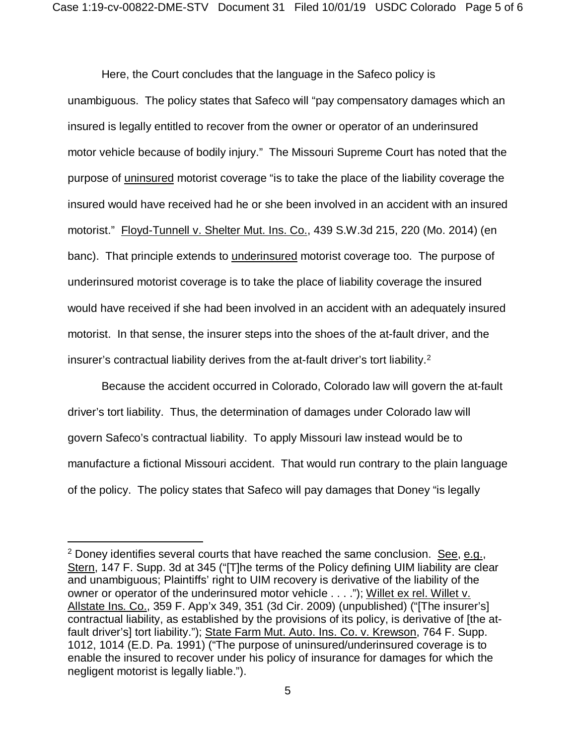Here, the Court concludes that the language in the Safeco policy is unambiguous. The policy states that Safeco will "pay compensatory damages which an insured is legally entitled to recover from the owner or operator of an underinsured motor vehicle because of bodily injury." The Missouri Supreme Court has noted that the purpose of uninsured motorist coverage "is to take the place of the liability coverage the insured would have received had he or she been involved in an accident with an insured motorist." Floyd-Tunnell v. Shelter Mut. Ins. Co., 439 S.W.3d 215, 220 (Mo. 2014) (en banc). That principle extends to underinsured motorist coverage too. The purpose of underinsured motorist coverage is to take the place of liability coverage the insured would have received if she had been involved in an accident with an adequately insured motorist. In that sense, the insurer steps into the shoes of the at-fault driver, and the insurer's contractual liability derives from the at-fault driver's tort liability. $2$ 

Because the accident occurred in Colorado, Colorado law will govern the at-fault driver's tort liability. Thus, the determination of damages under Colorado law will govern Safeco's contractual liability. To apply Missouri law instead would be to manufacture a fictional Missouri accident. That would run contrary to the plain language of the policy. The policy states that Safeco will pay damages that Doney "is legally

 $\overline{a}$ 

<span id="page-4-0"></span> $2$  Doney identifies several courts that have reached the same conclusion. See, e.g., Stern, 147 F. Supp. 3d at 345 ("[T]he terms of the Policy defining UIM liability are clear and unambiguous; Plaintiffs' right to UIM recovery is derivative of the liability of the owner or operator of the underinsured motor vehicle . . . ."); Willet ex rel. Willet v. Allstate Ins. Co., 359 F. App'x 349, 351 (3d Cir. 2009) (unpublished) ("[The insurer's] contractual liability, as established by the provisions of its policy, is derivative of [the atfault driver's] tort liability."); State Farm Mut. Auto. Ins. Co. v. Krewson, 764 F. Supp. 1012, 1014 (E.D. Pa. 1991) ("The purpose of uninsured/underinsured coverage is to enable the insured to recover under his policy of insurance for damages for which the negligent motorist is legally liable.").